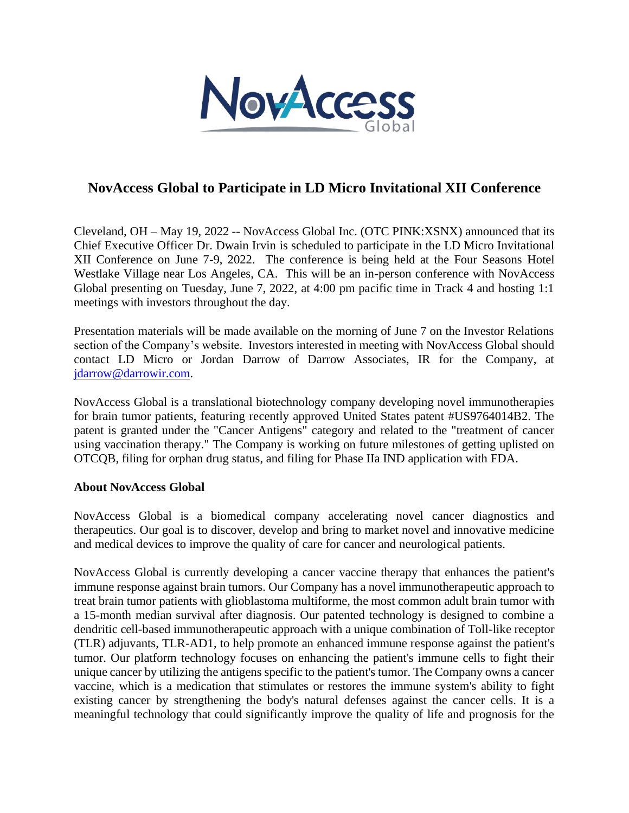

## **NovAccess Global to Participate in LD Micro Invitational XII Conference**

Cleveland, OH – May 19, 2022 -- NovAccess Global Inc. (OTC PINK:XSNX) announced that its Chief Executive Officer Dr. Dwain Irvin is scheduled to participate in the LD Micro Invitational XII Conference on June 7-9, 2022. The conference is being held at the Four Seasons Hotel Westlake Village near Los Angeles, CA. This will be an in-person conference with NovAccess Global presenting on Tuesday, June 7, 2022, at 4:00 pm pacific time in Track 4 and hosting 1:1 meetings with investors throughout the day.

Presentation materials will be made available on the morning of June 7 on the Investor Relations section of the Company's website. Investors interested in meeting with NovAccess Global should contact LD Micro or Jordan Darrow of Darrow Associates, IR for the Company, at [jdarrow@darrowir.com.](mailto:jdarrow@darrowir.com)

NovAccess Global is a translational biotechnology company developing novel immunotherapies for brain tumor patients, featuring recently approved United States patent #US9764014B2. The patent is granted under the "Cancer Antigens" category and related to the "treatment of cancer using vaccination therapy." The Company is working on future milestones of getting uplisted on OTCQB, filing for orphan drug status, and filing for Phase IIa IND application with FDA.

## **About NovAccess Global**

NovAccess Global is a biomedical company accelerating novel cancer diagnostics and therapeutics. Our goal is to discover, develop and bring to market novel and innovative medicine and medical devices to improve the quality of care for cancer and neurological patients.

NovAccess Global is currently developing a cancer vaccine therapy that enhances the patient's immune response against brain tumors. Our Company has a novel immunotherapeutic approach to treat brain tumor patients with glioblastoma multiforme, the most common adult brain tumor with a 15-month median survival after diagnosis. Our patented technology is designed to combine a dendritic cell-based immunotherapeutic approach with a unique combination of Toll-like receptor (TLR) adjuvants, TLR-AD1, to help promote an enhanced immune response against the patient's tumor. Our platform technology focuses on enhancing the patient's immune cells to fight their unique cancer by utilizing the antigens specific to the patient's tumor. The Company owns a cancer vaccine, which is a medication that stimulates or restores the immune system's ability to fight existing cancer by strengthening the body's natural defenses against the cancer cells. It is a meaningful technology that could significantly improve the quality of life and prognosis for the